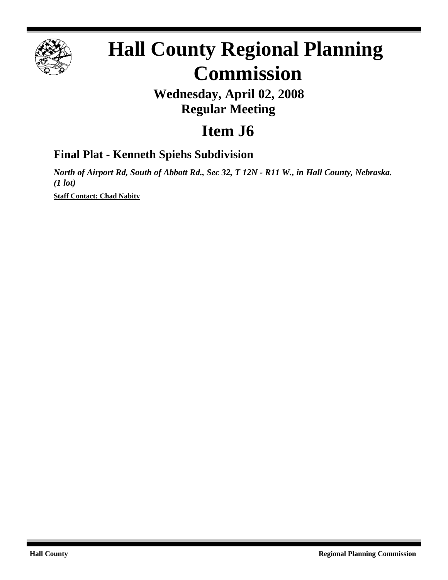

# **Hall County Regional Planning Commission**

## **Wednesday, April 02, 2008 Regular Meeting**

# **Item J6**

### **Final Plat - Kenneth Spiehs Subdivision**

*North of Airport Rd, South of Abbott Rd., Sec 32, T 12N - R11 W., in Hall County, Nebraska. (1 lot)*

**Staff Contact: Chad Nabity**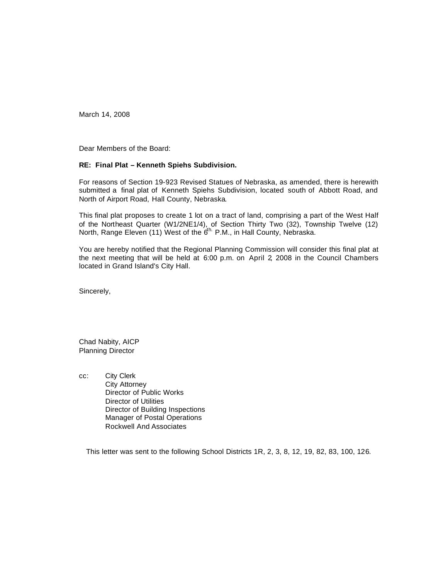March 14, 2008

Dear Members of the Board:

#### **RE: Final Plat – Kenneth Spiehs Subdivision.**

For reasons of Section 19-923 Revised Statues of Nebraska, as amended, there is herewith submitted a final plat of Kenneth Spiehs Subdivision, located south of Abbott Road, and North of Airport Road, Hall County, Nebraska.

This final plat proposes to create 1 lot on a tract of land, comprising a part of the West Half of the Northeast Quarter (W1/2NE1/4), of Section Thirty Two (32), Township Twelve (12) North, Range Eleven (11) West of the 6<sup>th.</sup> P.M., in Hall County, Nebraska.

You are hereby notified that the Regional Planning Commission will consider this final plat at the next meeting that will be held at 6:00 p.m. on April 2, 2008 in the Council Chambers located in Grand Island's City Hall.

Sincerely,

Chad Nabity, AICP Planning Director

cc: City Clerk City Attorney Director of Public Works Director of Utilities Director of Building Inspections Manager of Postal Operations Rockwell And Associates

This letter was sent to the following School Districts 1R, 2, 3, 8, 12, 19, 82, 83, 100, 126.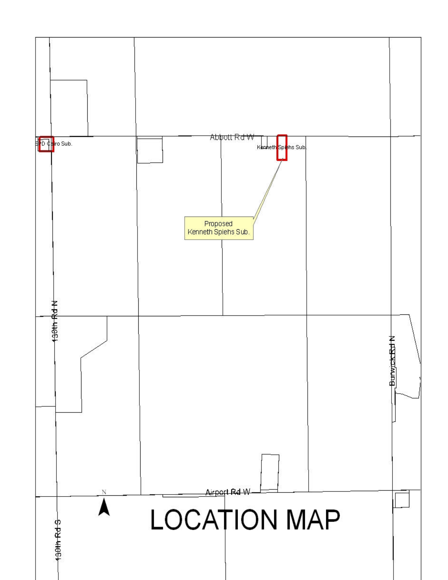